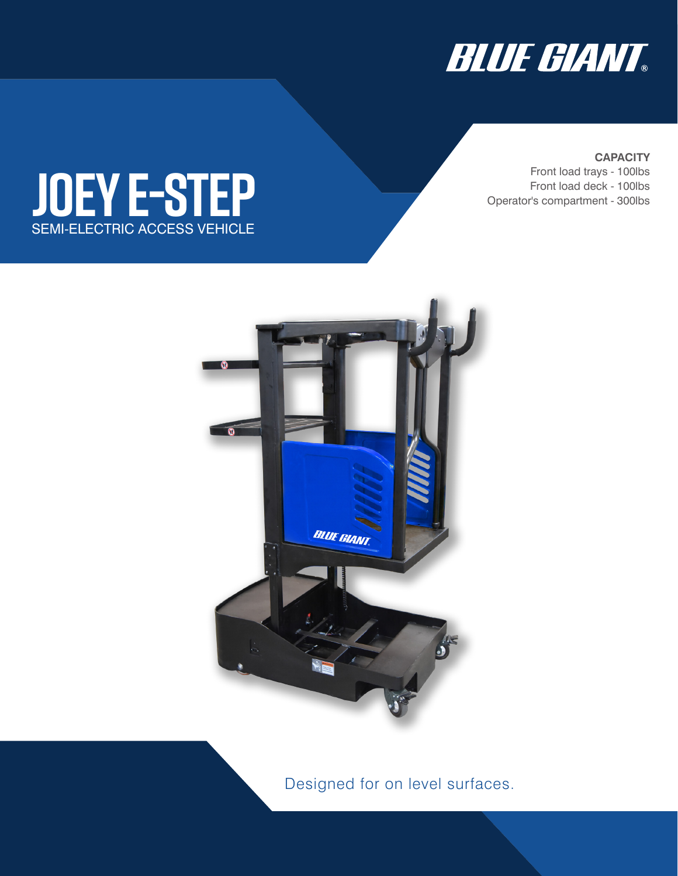

# **CAPACITY**

Front load trays - 100lbs Front load deck - 100lbs Operator's compartment - 300lbs



Designed for on level surfaces.

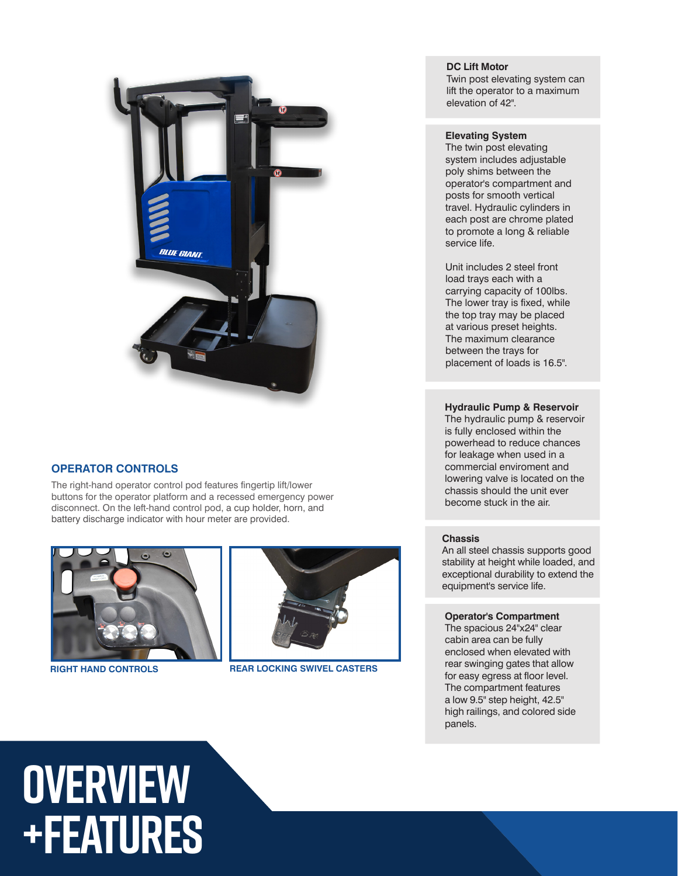

# **OPERATOR CONTROLS**

The right-hand operator control pod features fingertip lift/lower buttons for the operator platform and a recessed emergency power disconnect. On the left-hand control pod, a cup holder, horn, and battery discharge indicator with hour meter are provided.



**RIGHT HAND CONTROLS**



**REAR LOCKING SWIVEL CASTERS**

# **DC Lift Motor**

Twin post elevating system can lift the operator to a maximum elevation of 42".

## **Elevating System**

The twin post elevating system includes adjustable poly shims between the operator's compartment and posts for smooth vertical travel. Hydraulic cylinders in each post are chrome plated to promote a long & reliable service life.

Unit includes 2 steel front load trays each with a carrying capacity of 100lbs. The lower tray is fixed, while the top tray may be placed at various preset heights. The maximum clearance between the trays for placement of loads is 16.5".

## **Hydraulic Pump & Reservoir**

The hydraulic pump & reservoir is fully enclosed within the powerhead to reduce chances for leakage when used in a commercial enviroment and lowering valve is located on the chassis should the unit ever become stuck in the air.

#### **Chassis**

An all steel chassis supports good stability at height while loaded, and exceptional durability to extend the equipment's service life.

#### **Operator's Compartment**

The spacious 24"x24" clear cabin area can be fully enclosed when elevated with rear swinging gates that allow for easy egress at floor level. The compartment features a low 9.5" step height, 42.5" high railings, and colored side panels.

# **overview +features**